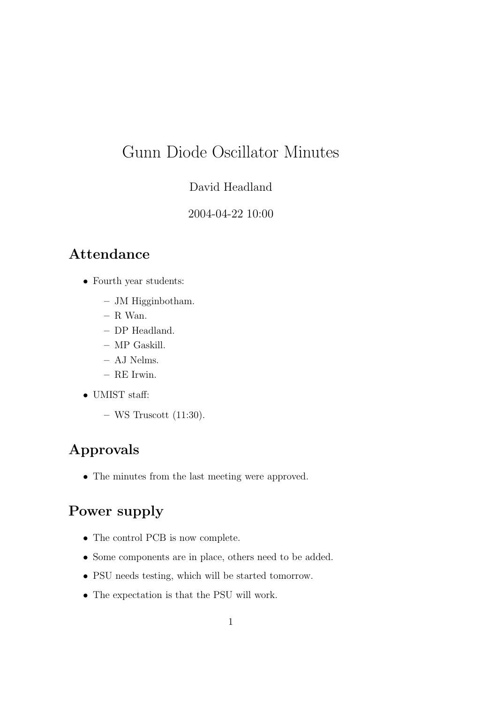# Gunn Diode Oscillator Minutes

#### David Headland

#### 2004-04-22 10:00

## Attendance

- Fourth year students:
	- JM Higginbotham.
	- $-$  R Wan.
	- DP Headland.
	- MP Gaskill.
	- AJ Nelms.
	- RE Irwin.
- UMIST staff:
	- $-$  WS Truscott (11:30).

## Approvals

• The minutes from the last meeting were approved.

# Power supply

- The control PCB is now complete.
- Some components are in place, others need to be added.
- PSU needs testing, which will be started tomorrow.
- The expectation is that the PSU will work.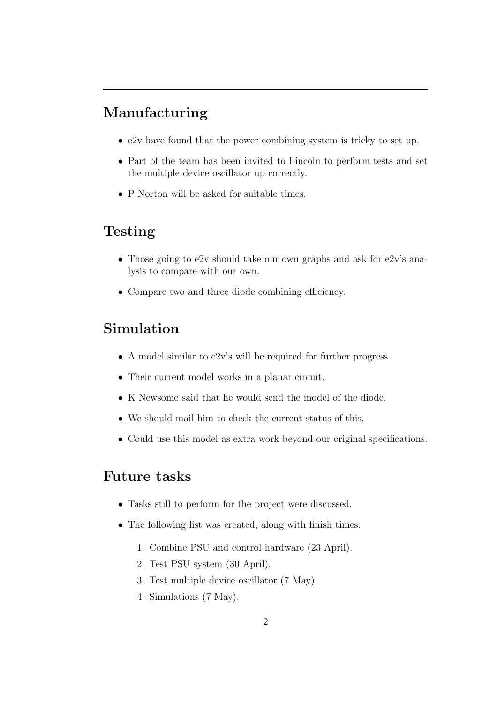### Manufacturing

- e2v have found that the power combining system is tricky to set up.
- Part of the team has been invited to Lincoln to perform tests and set the multiple device oscillator up correctly.
- P Norton will be asked for suitable times.

#### Testing

- Those going to e2v should take our own graphs and ask for e2v's analysis to compare with our own.
- Compare two and three diode combining efficiency.

## Simulation

- A model similar to e2v's will be required for further progress.
- Their current model works in a planar circuit.
- K Newsome said that he would send the model of the diode.
- We should mail him to check the current status of this.
- Could use this model as extra work beyond our original specifications.

#### Future tasks

- Tasks still to perform for the project were discussed.
- The following list was created, along with finish times:
	- 1. Combine PSU and control hardware (23 April).
	- 2. Test PSU system (30 April).
	- 3. Test multiple device oscillator (7 May).
	- 4. Simulations (7 May).